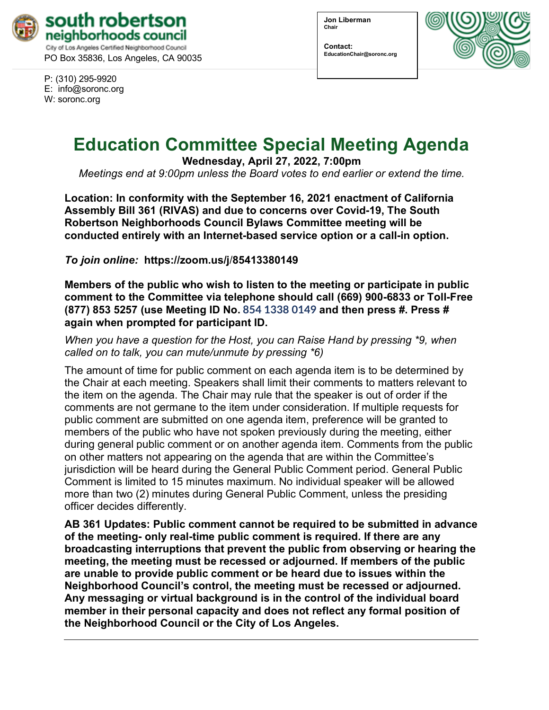

PO Box 35836, Los Angeles, CA 90035

P: (310) 295-9920 E: [info@soronc.org](about:blank) W: soronc.org

**Jon Liberman Chair**

**Contact: EducationChair@soronc.org**



# **Education Committee Special Meeting Agenda**

**Wednesday, April 27, 2022, 7:00pm** *Meetings end at 9:00pm unless the Board votes to end earlier or extend the time.*

**Location: In conformity with the September 16, 2021 enactment of California Assembly Bill 361 (RIVAS) and due to concerns over Covid-19, The South Robertson Neighborhoods Council Bylaws Committee meeting will be conducted entirely with an Internet-based service option or a call-in option.** 

*To join online:* **[https://zoom.us/j](about:blank)**/**85413380149**

**Members of the public who wish to listen to the meeting or participate in public comment to the Committee via telephone should call (669) 900-6833 or Toll-Free (877) 853 5257 (use Meeting ID No. 854 1338 0149 and then press #. Press # again when prompted for participant ID.** 

*When you have a question for the Host, you can Raise Hand by pressing \*9, when called on to talk, you can mute/unmute by pressing \*6)* 

The amount of time for public comment on each agenda item is to be determined by the Chair at each meeting. Speakers shall limit their comments to matters relevant to the item on the agenda. The Chair may rule that the speaker is out of order if the comments are not germane to the item under consideration. If multiple requests for public comment are submitted on one agenda item, preference will be granted to members of the public who have not spoken previously during the meeting, either during general public comment or on another agenda item. Comments from the public on other matters not appearing on the agenda that are within the Committee's jurisdiction will be heard during the General Public Comment period. General Public Comment is limited to 15 minutes maximum. No individual speaker will be allowed more than two (2) minutes during General Public Comment, unless the presiding officer decides differently.

**AB 361 Updates: Public comment cannot be required to be submitted in advance of the meeting- only real-time public comment is required. If there are any broadcasting interruptions that prevent the public from observing or hearing the meeting, the meeting must be recessed or adjourned. If members of the public are unable to provide public comment or be heard due to issues within the Neighborhood Council's control, the meeting must be recessed or adjourned. Any messaging or virtual background is in the control of the individual board member in their personal capacity and does not reflect any formal position of the Neighborhood Council or the City of Los Angeles.**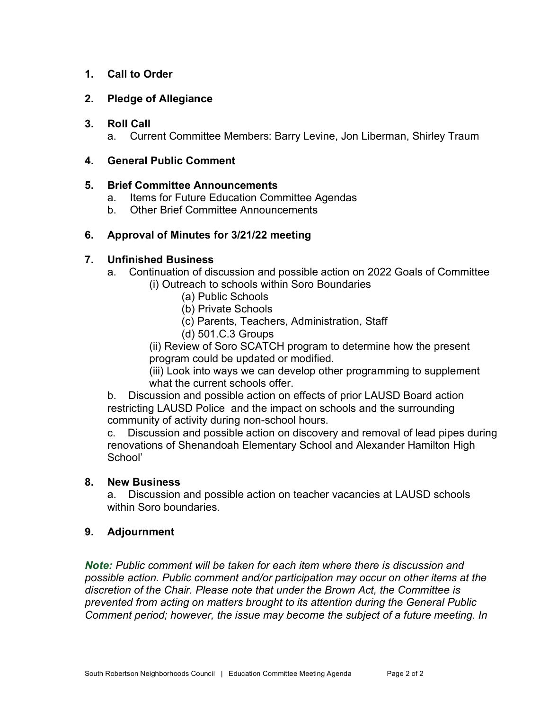# **1. Call to Order**

#### **2. Pledge of Allegiance**

#### **3. Roll Call**

a. Current Committee Members: Barry Levine, Jon Liberman, Shirley Traum

#### **4. General Public Comment**

#### **5. Brief Committee Announcements**

- a. Items for Future Education Committee Agendas
- b. Other Brief Committee Announcements

## **6. Approval of Minutes for 3/21/22 meeting**

## **7. Unfinished Business**

- a. Continuation of discussion and possible action on 2022 Goals of Committee (i) Outreach to schools within Soro Boundaries
	- (a) Public Schools
	- (b) Private Schools
	- (c) Parents, Teachers, Administration, Staff
	- (d) 501.C.3 Groups

(ii) Review of Soro SCATCH program to determine how the present program could be updated or modified.

(iii) Look into ways we can develop other programming to supplement what the current schools offer.

b. Discussion and possible action on effects of prior LAUSD Board action restricting LAUSD Police and the impact on schools and the surrounding community of activity during non-school hours.

c. Discussion and possible action on discovery and removal of lead pipes during renovations of Shenandoah Elementary School and Alexander Hamilton High School'

## **8. New Business**

a. Discussion and possible action on teacher vacancies at LAUSD schools within Soro boundaries.

## **9. Adjournment**

*Note: Public comment will be taken for each item where there is discussion and possible action. Public comment and/or participation may occur on other items at the discretion of the Chair. Please note that under the Brown Act, the Committee is prevented from acting on matters brought to its attention during the General Public Comment period; however, the issue may become the subject of a future meeting. In*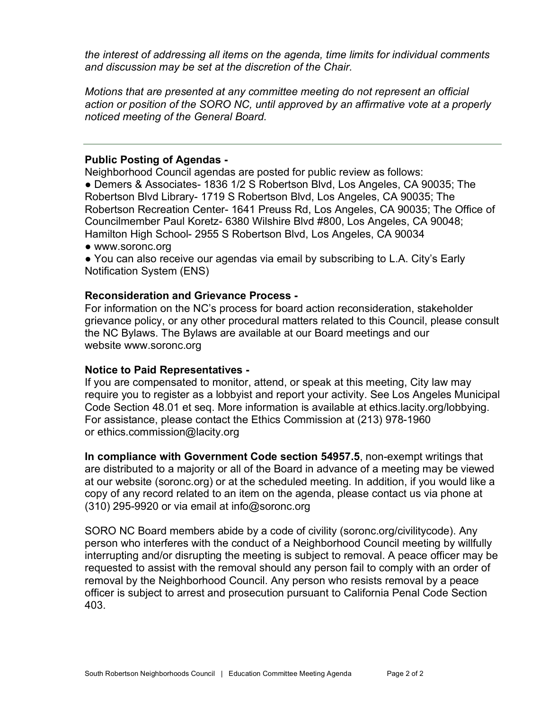*the interest of addressing all items on the agenda, time limits for individual comments and discussion may be set at the discretion of the Chair.*

*Motions that are presented at any committee meeting do not represent an official action or position of the SORO NC, until approved by an affirmative vote at a properly noticed meeting of the General Board.*

#### **Public Posting of Agendas -**

Neighborhood Council agendas are posted for public review as follows:

● Demers & Associates- 1836 1/2 S Robertson Blvd, Los Angeles, CA 90035; The Robertson Blvd Library- 1719 S Robertson Blvd, Los Angeles, CA 90035; The Robertson Recreation Center- 1641 Preuss Rd, Los Angeles, CA 90035; The Office of Councilmember Paul Koretz- 6380 Wilshire Blvd #800, Los Angeles, CA 90048; Hamilton High School- 2955 S Robertson Blvd, Los Angeles, CA 90034

● [www.soronc.org](about:blank)

● You can also receive our agendas via email by subscribing to L.A. City's Early [Notification System \(ENS\)](about:blank)

## **Reconsideration and Grievance Process -**

For information on the NC's process for board action reconsideration, stakeholder grievance policy, or any other procedural matters related to this Council, please consult the NC Bylaws. The Bylaws are available at our Board meetings and our website [www.soronc.org](about:blank)

#### **Notice to Paid Representatives -**

If you are compensated to monitor, attend, or speak at this meeting, City law may require you to register as a lobbyist and report your activity. See Los Angeles Municipal Code Section 48.01 et seq. More information is available at [ethics.lacity.org/lobbying.](about:blank) For assistance, please contact the Ethics Commission at (213) 978-1960 or [ethics.commission@lacity.org](about:blank)

**In compliance with Government Code section 54957.5**, non-exempt writings that are distributed to a majority or all of the Board in advance of a meeting may be viewed at our website (soronc.org) or at the scheduled meeting. In addition, if you would like a copy of any record related to an item on the agenda, please contact us via phone at (310) 295-9920 or via email at [info@soronc.org](about:blank)

SORO NC Board members abide by a code of civility (soronc.org/civilitycode). Any person who interferes with the conduct of a Neighborhood Council meeting by willfully interrupting and/or disrupting the meeting is subject to removal. A peace officer may be requested to assist with the removal should any person fail to comply with an order of removal by the Neighborhood Council. Any person who resists removal by a peace officer is subject to arrest and prosecution pursuant to California Penal Code Section 403.